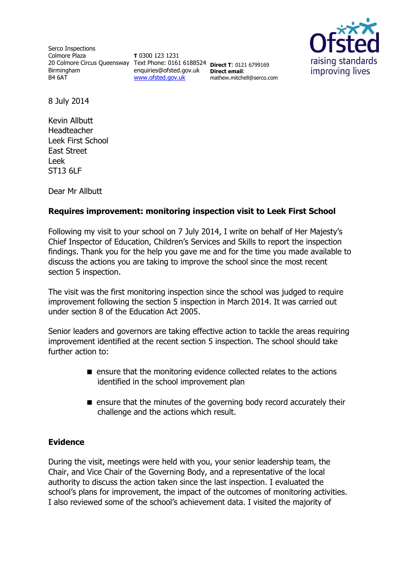Serco Inspections Colmore Plaza 20 Colmore Circus Queensway Text Phone: 0161 6188524 **Direct T**: 0121 6799169 Birmingham B4 6AT

**T** 0300 123 1231 enquiries@ofsted.gov.uk **Direct email**: [www.ofsted.gov.uk](http://www.ofsted.gov.uk/)

mathew.mitchell@serco.com



8 July 2014

Kevin Allbutt Headteacher Leek First School East Street Leek ST13 6LF

Dear Mr Allbutt

# **Requires improvement: monitoring inspection visit to Leek First School**

Following my visit to your school on 7 July 2014, I write on behalf of Her Majesty's Chief Inspector of Education, Children's Services and Skills to report the inspection findings. Thank you for the help you gave me and for the time you made available to discuss the actions you are taking to improve the school since the most recent section 5 inspection.

The visit was the first monitoring inspection since the school was judged to require improvement following the section 5 inspection in March 2014. It was carried out under section 8 of the Education Act 2005.

Senior leaders and governors are taking effective action to tackle the areas requiring improvement identified at the recent section 5 inspection. The school should take further action to:

- ensure that the monitoring evidence collected relates to the actions identified in the school improvement plan
- $\blacksquare$  ensure that the minutes of the governing body record accurately their challenge and the actions which result.

# **Evidence**

During the visit, meetings were held with you, your senior leadership team, the Chair, and Vice Chair of the Governing Body, and a representative of the local authority to discuss the action taken since the last inspection. I evaluated the school's plans for improvement, the impact of the outcomes of monitoring activities. I also reviewed some of the school's achievement data. I visited the majority of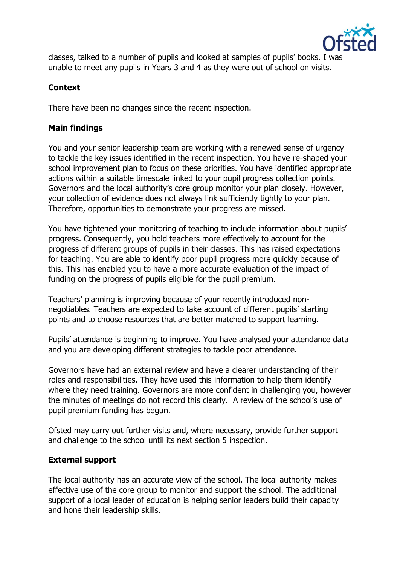

classes, talked to a number of pupils and looked at samples of pupils' books. I was unable to meet any pupils in Years 3 and 4 as they were out of school on visits.

# **Context**

There have been no changes since the recent inspection.

# **Main findings**

You and your senior leadership team are working with a renewed sense of urgency to tackle the key issues identified in the recent inspection. You have re-shaped your school improvement plan to focus on these priorities. You have identified appropriate actions within a suitable timescale linked to your pupil progress collection points. Governors and the local authority's core group monitor your plan closely. However, your collection of evidence does not always link sufficiently tightly to your plan. Therefore, opportunities to demonstrate your progress are missed.

You have tightened your monitoring of teaching to include information about pupils' progress. Consequently, you hold teachers more effectively to account for the progress of different groups of pupils in their classes. This has raised expectations for teaching. You are able to identify poor pupil progress more quickly because of this. This has enabled you to have a more accurate evaluation of the impact of funding on the progress of pupils eligible for the pupil premium.

Teachers' planning is improving because of your recently introduced nonnegotiables. Teachers are expected to take account of different pupils' starting points and to choose resources that are better matched to support learning.

Pupils' attendance is beginning to improve. You have analysed your attendance data and you are developing different strategies to tackle poor attendance.

Governors have had an external review and have a clearer understanding of their roles and responsibilities. They have used this information to help them identify where they need training. Governors are more confident in challenging you, however the minutes of meetings do not record this clearly. A review of the school's use of pupil premium funding has begun.

Ofsted may carry out further visits and, where necessary, provide further support and challenge to the school until its next section 5 inspection.

# **External support**

The local authority has an accurate view of the school. The local authority makes effective use of the core group to monitor and support the school. The additional support of a local leader of education is helping senior leaders build their capacity and hone their leadership skills.